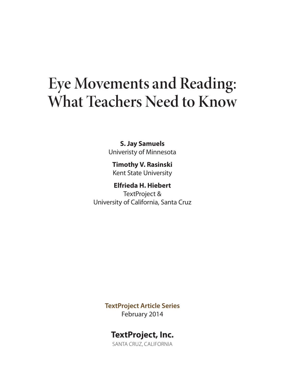# **Eye Movements and Reading: What Teachers Need to Know**

**S. Jay Samuels** Univeristy of Minnesota

**Timothy V. Rasinski** Kent State University

**Elfrieda H. Hiebert** TextProject & University of California, Santa Cruz

> **TextProject Article Series** February 2014

# **TextProject, Inc.**

SANTA CRUZ, CALIFORNIA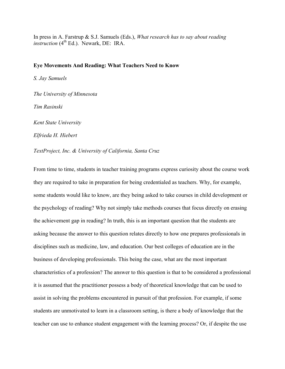In press in A. Farstrup & S.J. Samuels (Eds.), *What research has to say about reading instruction* (4<sup>th</sup> Ed.). Newark, DE: IRA.

#### **Eye Movements And Reading: What Teachers Need to Know**

*S. Jay Samuels*

*The University of Minnesota*

*Tim Rasinski*

*Kent State University*

*Elfrieda H. Hiebert*

*TextProject, Inc. & University of California, Santa Cruz*

From time to time, students in teacher training programs express curiosity about the course work they are required to take in preparation for being credentialed as teachers. Why, for example, some students would like to know, are they being asked to take courses in child development or the psychology of reading? Why not simply take methods courses that focus directly on erasing the achievement gap in reading? In truth, this is an important question that the students are asking because the answer to this question relates directly to how one prepares professionals in disciplines such as medicine, law, and education. Our best colleges of education are in the business of developing professionals. This being the case, what are the most important characteristics of a profession? The answer to this question is that to be considered a professional it is assumed that the practitioner possess a body of theoretical knowledge that can be used to assist in solving the problems encountered in pursuit of that profession. For example, if some students are unmotivated to learn in a classroom setting, is there a body of knowledge that the teacher can use to enhance student engagement with the learning process? Or, if despite the use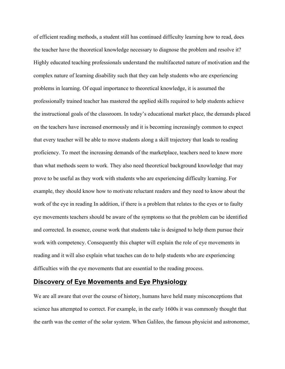of efficient reading methods, a student still has continued difficulty learning how to read, does the teacher have the theoretical knowledge necessary to diagnose the problem and resolve it? Highly educated teaching professionals understand the multifaceted nature of motivation and the complex nature of learning disability such that they can help students who are experiencing problems in learning. Of equal importance to theoretical knowledge, it is assumed the professionally trained teacher has mastered the applied skills required to help students achieve the instructional goals of the classroom. In today's educational market place, the demands placed on the teachers have increased enormously and it is becoming increasingly common to expect that every teacher will be able to move students along a skill trajectory that leads to reading proficiency. To meet the increasing demands of the marketplace, teachers need to know more than what methods seem to work. They also need theoretical background knowledge that may prove to be useful as they work with students who are experiencing difficulty learning. For example, they should know how to motivate reluctant readers and they need to know about the work of the eye in reading In addition, if there is a problem that relates to the eyes or to faulty eye movements teachers should be aware of the symptoms so that the problem can be identified and corrected. In essence, course work that students take is designed to help them pursue their work with competency. Consequently this chapter will explain the role of eye movements in reading and it will also explain what teaches can do to help students who are experiencing difficulties with the eye movements that are essential to the reading process.

# **Discovery of Eye Movements and Eye Physiology**

We are all aware that over the course of history, humans have held many misconceptions that science has attempted to correct. For example, in the early 1600s it was commonly thought that the earth was the center of the solar system. When Galileo, the famous physicist and astronomer,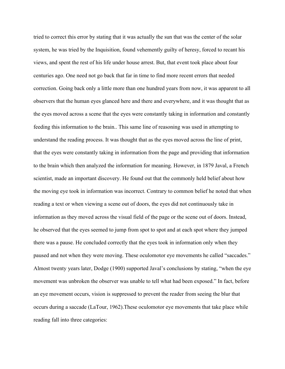tried to correct this error by stating that it was actually the sun that was the center of the solar system, he was tried by the Inquisition, found vehemently guilty of heresy, forced to recant his views, and spent the rest of his life under house arrest. But, that event took place about four centuries ago. One need not go back that far in time to find more recent errors that needed correction. Going back only a little more than one hundred years from now, it was apparent to all observers that the human eyes glanced here and there and everywhere, and it was thought that as the eyes moved across a scene that the eyes were constantly taking in information and constantly feeding this information to the brain.. This same line of reasoning was used in attempting to understand the reading process. It was thought that as the eyes moved across the line of print, that the eyes were constantly taking in information from the page and providing that information to the brain which then analyzed the information for meaning. However, in 1879 Javal, a French scientist, made an important discovery. He found out that the commonly held belief about how the moving eye took in information was incorrect. Contrary to common belief he noted that when reading a text or when viewing a scene out of doors, the eyes did not continuously take in information as they moved across the visual field of the page or the scene out of doors. Instead, he observed that the eyes seemed to jump from spot to spot and at each spot where they jumped there was a pause. He concluded correctly that the eyes took in information only when they paused and not when they were moving. These oculomotor eye movements he called "saccades." Almost twenty years later, Dodge (1900) supported Javal's conclusions by stating, "when the eye movement was unbroken the observer was unable to tell what had been exposed." In fact, before an eye movement occurs, vision is suppressed to prevent the reader from seeing the blur that occurs during a saccade (LaTour, 1962).These oculomotor eye movements that take place while reading fall into three categories: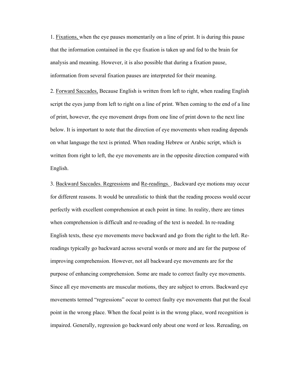1. Fixations, when the eye pauses momentarily on a line of print. It is during this pause that the information contained in the eye fixation is taken up and fed to the brain for analysis and meaning. However, it is also possible that during a fixation pause, information from several fixation pauses are interpreted for their meaning.

2. Forward Saccades, Because English is written from left to right, when reading English script the eyes jump from left to right on a line of print. When coming to the end of a line of print, however, the eye movement drops from one line of print down to the next line below. It is important to note that the direction of eye movements when reading depends on what language the text is printed. When reading Hebrew or Arabic script, which is written from right to left, the eye movements are in the opposite direction compared with English.

3. Backward Saccades. Regressions and Re-readings. . Backward eye motions may occur for different reasons. It would be unrealistic to think that the reading process would occur perfectly with excellent comprehension at each point in time. In reality, there are times when comprehension is difficult and re-reading of the text is needed. In re-reading English texts, these eye movements move backward and go from the right to the left. Rereadings typically go backward across several words or more and are for the purpose of improving comprehension. However, not all backward eye movements are for the purpose of enhancing comprehension. Some are made to correct faulty eye movements. Since all eye movements are muscular motions, they are subject to errors. Backward eye movements termed "regressions" occur to correct faulty eye movements that put the focal point in the wrong place. When the focal point is in the wrong place, word recognition is impaired. Generally, regression go backward only about one word or less. Rereading, on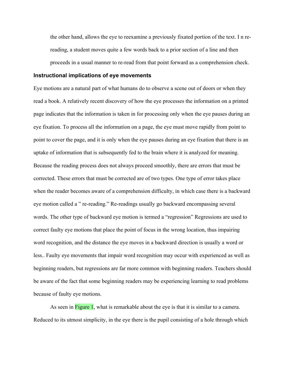the other hand, allows the eye to reexamine a previously fixated portion of the text. I n rereading, a student moves quite a few words back to a prior section of a line and then proceeds in a usual manner to re-read from that point forward as a comprehension check.

#### **Instructional implications of eye movements**

Eye motions are a natural part of what humans do to observe a scene out of doors or when they read a book. A relatively recent discovery of how the eye processes the information on a printed page indicates that the information is taken in for processing only when the eye pauses during an eye fixation. To process all the information on a page, the eye must move rapidly from point to point to cover the page, and it is only when the eye pauses during an eye fixation that there is an uptake of information that is subsequently fed to the brain where it is analyzed for meaning. Because the reading process does not always proceed smoothly, there are errors that must be corrected. These errors that must be corrected are of two types. One type of error takes place when the reader becomes aware of a comprehension difficulty, in which case there is a backward eye motion called a " re-reading." Re-readings usually go backward encompassing several words. The other type of backward eye motion is termed a "regression" Regressions are used to correct faulty eye motions that place the point of focus in the wrong location, thus impairing word recognition, and the distance the eye moves in a backward direction is usually a word or less.. Faulty eye movements that impair word recognition may occur with experienced as well as beginning readers, but regressions are far more common with beginning readers. Teachers should be aware of the fact that some beginning readers may be experiencing learning to read problems because of faulty eye motions.

As seen in Figure 1, what is remarkable about the eye is that it is similar to a camera. Reduced to its utmost simplicity, in the eye there is the pupil consisting of a hole through which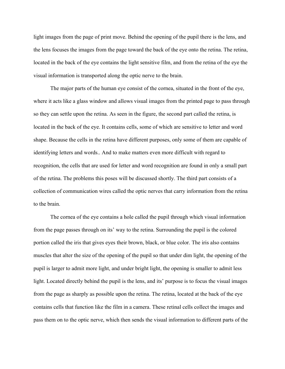light images from the page of print move. Behind the opening of the pupil there is the lens, and the lens focuses the images from the page toward the back of the eye onto the retina. The retina, located in the back of the eye contains the light sensitive film, and from the retina of the eye the visual information is transported along the optic nerve to the brain.

The major parts of the human eye consist of the cornea, situated in the front of the eye, where it acts like a glass window and allows visual images from the printed page to pass through so they can settle upon the retina. As seen in the figure, the second part called the retina, is located in the back of the eye. It contains cells, some of which are sensitive to letter and word shape. Because the cells in the retina have different purposes, only some of them are capable of identifying letters and words.. And to make matters even more difficult with regard to recognition, the cells that are used for letter and word recognition are found in only a small part of the retina. The problems this poses will be discussed shortly. The third part consists of a collection of communication wires called the optic nerves that carry information from the retina to the brain.

The cornea of the eye contains a hole called the pupil through which visual information from the page passes through on its' way to the retina. Surrounding the pupil is the colored portion called the iris that gives eyes their brown, black, or blue color. The iris also contains muscles that alter the size of the opening of the pupil so that under dim light, the opening of the pupil is larger to admit more light, and under bright light, the opening is smaller to admit less light. Located directly behind the pupil is the lens, and its' purpose is to focus the visual images from the page as sharply as possible upon the retina. The retina, located at the back of the eye contains cells that function like the film in a camera. These retinal cells collect the images and pass them on to the optic nerve, which then sends the visual information to different parts of the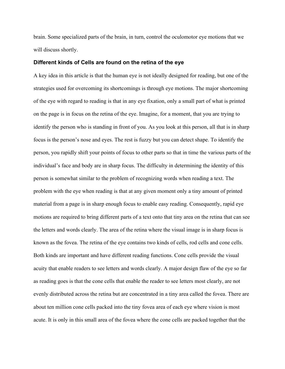brain. Some specialized parts of the brain, in turn, control the oculomotor eye motions that we will discuss shortly.

#### **Different kinds of Cells are found on the retina of the eye**

A key idea in this article is that the human eye is not ideally designed for reading, but one of the strategies used for overcoming its shortcomings is through eye motions. The major shortcoming of the eye with regard to reading is that in any eye fixation, only a small part of what is printed on the page is in focus on the retina of the eye. Imagine, for a moment, that you are trying to identify the person who is standing in front of you. As you look at this person, all that is in sharp focus is the person's nose and eyes. The rest is fuzzy but you can detect shape. To identify the person, you rapidly shift your points of focus to other parts so that in time the various parts of the individual's face and body are in sharp focus. The difficulty in determining the identity of this person is somewhat similar to the problem of recognizing words when reading a text. The problem with the eye when reading is that at any given moment only a tiny amount of printed material from a page is in sharp enough focus to enable easy reading. Consequently, rapid eye motions are required to bring different parts of a text onto that tiny area on the retina that can see the letters and words clearly. The area of the retina where the visual image is in sharp focus is known as the fovea. The retina of the eye contains two kinds of cells, rod cells and cone cells. Both kinds are important and have different reading functions. Cone cells provide the visual acuity that enable readers to see letters and words clearly. A major design flaw of the eye so far as reading goes is that the cone cells that enable the reader to see letters most clearly, are not evenly distributed across the retina but are concentrated in a tiny area called the fovea. There are about ten million cone cells packed into the tiny fovea area of each eye where vision is most acute. It is only in this small area of the fovea where the cone cells are packed together that the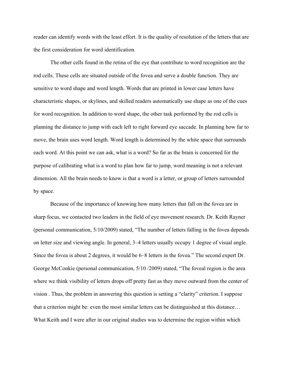reader can identify words with the least effort. It is the quality of resolution of the letters that are the first consideration for word identification.

The other cells found in the retina of the eye that contribute to word recognition are the rod cells. These cells are situated outside of the fovea and serve a double function. They are sensitive to word shape and word length. Words that are printed in lower case letters have characteristic shapes, or skylines, and skilled readers automatically use shape as one of the cues for word recognition. In addition to word shape, the other task performed by the rod cells is planning the distance to jump with each left to right forward eye saccade. In planning how far to move, the brain uses word length. Word length is determined by the white space that surrounds each word. At this point we can ask, what is a word? So far as the brain is concerned for the purpose of calibrating what is a word to plan how far to jump, word meaning is not a relevant dimension. All the brain needs to know is that a word is a letter, or group of letters surrounded by space.

Because of the importance of knowing how many letters that fall on the fovea are in sharp focus, we contacted two leaders in the field of eye movement research. Dr. Keith Rayner (personal communication, 5/10/2009) stated, "The number of letters falling in the fovea depends on letter size and viewing angle. In general, 3–4 letters usually occupy 1 degree of visual angle. Since the fovea is about 2 degrees, it would be 6–8 letters in the fovea." The second expert Dr. George McConkie (personal communication, 5/10 /2009) stated, "The foveal region is the area where we think visibility of letters drops off pretty fast as they move outward from the center of vision . Thus, the problem in answering this question is setting a "clarity" criterion. I suppose that a criterion might be: even the most similar letters can be distinguished at this distance… What Keith and I were after in our original studies was to determine the region within which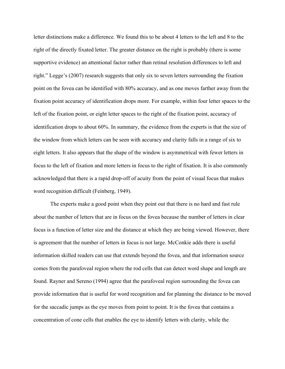letter distinctions make a difference. We found this to be about 4 letters to the left and 8 to the right of the directly fixated letter. The greater distance on the right is probably (there is some supportive evidence) an attentional factor rather than retinal resolution differences to left and right." Legge's (2007) research suggests that only six to seven letters surrounding the fixation point on the fovea can be identified with 80% accuracy, and as one moves farther away from the fixation point accuracy of identification drops more. For example, within four letter spaces to the left of the fixation point, or eight letter spaces to the right of the fixation point, accuracy of identification drops to about 60%. In summary, the evidence from the experts is that the size of the window from which letters can be seen with accuracy and clarity falls in a range of six to eight letters. It also appears that the shape of the window is asymmetrical with fewer letters in focus to the left of fixation and more letters in focus to the right of fixation. It is also commonly acknowledged that there is a rapid drop-off of acuity from the point of visual focus that makes word recognition difficult (Feinberg, 1949).

The experts make a good point when they point out that there is no hard and fast rule about the number of letters that are in focus on the fovea because the number of letters in clear focus is a function of letter size and the distance at which they are being viewed. However, there is agreement that the number of letters in focus is not large. McConkie adds there is useful information skilled readers can use that extends beyond the fovea, and that information source comes from the parafoveal region where the rod cells that can detect word shape and length are found. Rayner and Sereno (1994) agree that the parafoveal region surrounding the fovea can provide information that is useful for word recognition and for planning the distance to be moved for the saccadic jumps as the eye moves from point to point. It is the fovea that contains a concentration of cone cells that enables the eye to identify letters with clarity, while the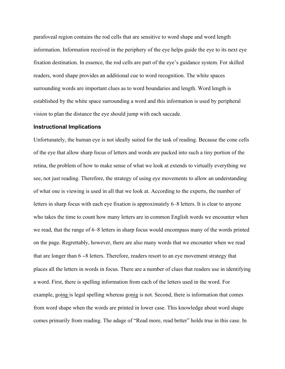parafoveal region contains the rod cells that are sensitive to word shape and word length information. Information received in the periphery of the eye helps guide the eye to its next eye fixation destination. In essence, the rod cells are part of the eye's guidance system. For skilled readers, word shape provides an additional cue to word recognition. The white spaces surrounding words are important clues as to word boundaries and length. Word length is established by the white space surrounding a word and this information is used by peripheral vision to plan the distance the eye should jump with each saccade.

#### **Instructional Implications**

Unfortunately, the human eye is not ideally suited for the task of reading. Because the cone cells of the eye that allow sharp focus of letters and words are packed into such a tiny portion of the retina, the problem of how to make sense of what we look at extends to virtually everything we see, not just reading. Therefore, the strategy of using eye movements to allow an understanding of what one is viewing is used in all that we look at. According to the experts, the number of letters in sharp focus with each eye fixation is approximately 6–8 letters. It is clear to anyone who takes the time to count how many letters are in common English words we encounter when we read, that the range of 6–8 letters in sharp focus would encompass many of the words printed on the page. Regrettably, however, there are also many words that we encounter when we read that are longer than 6 −8 letters. Therefore, readers resort to an eye movement strategy that places all the letters in words in focus. There are a number of clues that readers use in identifying a word. First, there is spelling information from each of the letters used in the word. For example, going is legal spelling whereas gonig is not. Second, there is information that comes from word shape when the words are printed in lower case. This knowledge about word shape comes primarily from reading. The adage of "Read more, read better" holds true in this case. In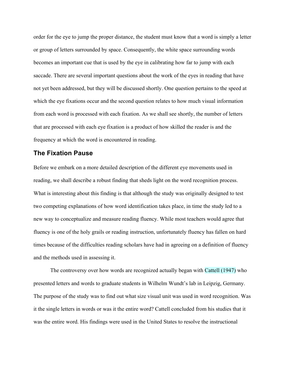order for the eye to jump the proper distance, the student must know that a word is simply a letter or group of letters surrounded by space. Consequently, the white space surrounding words becomes an important cue that is used by the eye in calibrating how far to jump with each saccade. There are several important questions about the work of the eyes in reading that have not yet been addressed, but they will be discussed shortly. One question pertains to the speed at which the eye fixations occur and the second question relates to how much visual information from each word is processed with each fixation. As we shall see shortly, the number of letters that are processed with each eye fixation is a product of how skilled the reader is and the frequency at which the word is encountered in reading.

## **The Fixation Pause**

Before we embark on a more detailed description of the different eye movements used in reading, we shall describe a robust finding that sheds light on the word recognition process. What is interesting about this finding is that although the study was originally designed to test two competing explanations of how word identification takes place, in time the study led to a new way to conceptualize and measure reading fluency. While most teachers would agree that fluency is one of the holy grails or reading instruction, unfortunately fluency has fallen on hard times because of the difficulties reading scholars have had in agreeing on a definition of fluency and the methods used in assessing it.

The controversy over how words are recognized actually began with Cattell (1947) who presented letters and words to graduate students in Wilhelm Wundt's lab in Leipzig, Germany. The purpose of the study was to find out what size visual unit was used in word recognition. Was it the single letters in words or was it the entire word? Cattell concluded from his studies that it was the entire word. His findings were used in the United States to resolve the instructional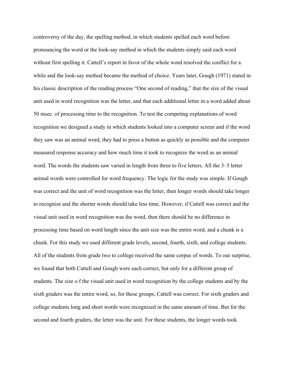controversy of the day, the spelling method, in which students spelled each word before pronouncing the word or the look-say method in which the students simply said each word without first spelling it. Cattell's report in favor of the whole word resolved the conflict for a while and the look-say method became the method of choice. Years later, Gough (1971) stated in his classic description of the reading process "One second of reading," that the size of the visual unit used in word recognition was the letter, and that each additional letter in a word added about 50 msec. of processing time to the recognition. To test the competing explanations of word recognition we designed a study in which students looked into a computer screen and if the word they saw was an animal word, they had to press a button as quickly as possible and the computer measured response accuracy and how much time it took to recognize the word as an animal word. The words the students saw varied in length from three to five letters. All the 3–5 letter animal words were controlled for word frequency. The logic for the study was simple. If Gough was correct and the unit of word recognition was the letter, then longer words should take longer to recognize and the shorter words should take less time. However, if Cattell was correct and the visual unit used in word recognition was the word, then there should be no difference in processing time based on word length since the unit size was the entire word, and a chunk is a chunk. For this study we used different grade levels, second, fourth, sixth, and college students. All of the students from grade two to college received the same corpus of words. To our surprise, we found that both Cattell and Gough were each correct, but only for a different group of students. The size o f the visual unit used in word recognition by the college students and by the sixth graders was the entire word, so, for these groups, Cattell was correct. For sixth graders and college students long and short words were recognized in the same amount of time. But for the second and fourth graders, the letter was the unit. For these students, the longer words took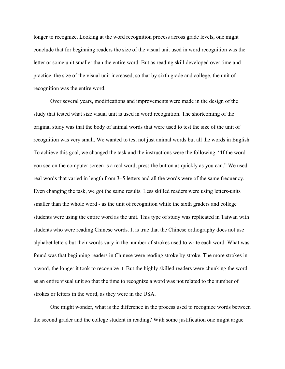longer to recognize. Looking at the word recognition process across grade levels, one might conclude that for beginning readers the size of the visual unit used in word recognition was the letter or some unit smaller than the entire word. But as reading skill developed over time and practice, the size of the visual unit increased, so that by sixth grade and college, the unit of recognition was the entire word.

Over several years, modifications and improvements were made in the design of the study that tested what size visual unit is used in word recognition. The shortcoming of the original study was that the body of animal words that were used to test the size of the unit of recognition was very small. We wanted to test not just animal words but all the words in English. To achieve this goal, we changed the task and the instructions were the following: "If the word you see on the computer screen is a real word, press the button as quickly as you can." We used real words that varied in length from 3–5 letters and all the words were of the same frequency. Even changing the task, we got the same results. Less skilled readers were using letters-units smaller than the whole word - as the unit of recognition while the sixth graders and college students were using the entire word as the unit. This type of study was replicated in Taiwan with students who were reading Chinese words. It is true that the Chinese orthography does not use alphabet letters but their words vary in the number of strokes used to write each word. What was found was that beginning readers in Chinese were reading stroke by stroke. The more strokes in a word, the longer it took to recognize it. But the highly skilled readers were chunking the word as an entire visual unit so that the time to recognize a word was not related to the number of strokes or letters in the word, as they were in the USA.

One might wonder, what is the difference in the process used to recognize words between the second grader and the college student in reading? With some justification one might argue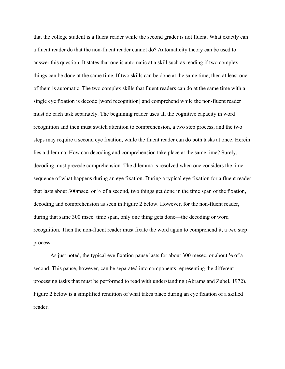that the college student is a fluent reader while the second grader is not fluent. What exactly can a fluent reader do that the non-fluent reader cannot do? Automaticity theory can be used to answer this question. It states that one is automatic at a skill such as reading if two complex things can be done at the same time. If two skills can be done at the same time, then at least one of them is automatic. The two complex skills that fluent readers can do at the same time with a single eye fixation is decode [word recognition] and comprehend while the non-fluent reader must do each task separately. The beginning reader uses all the cognitive capacity in word recognition and then must switch attention to comprehension, a two step process, and the two steps may require a second eye fixation, while the fluent reader can do both tasks at once. Herein lies a dilemma. How can decoding and comprehension take place at the same time? Surely, decoding must precede comprehension. The dilemma is resolved when one considers the time sequence of what happens during an eye fixation. During a typical eye fixation for a fluent reader that lasts about 300msec. or ⅓ of a second, two things get done in the time span of the fixation, decoding and comprehension as seen in Figure 2 below. However, for the non-fluent reader, during that same 300 msec. time span, only one thing gets done—the decoding or word recognition. Then the non-fluent reader must fixate the word again to comprehend it, a two step process.

As just noted, the typical eye fixation pause lasts for about 300 mesec. or about ⅓ of a second. This pause, however, can be separated into components representing the different processing tasks that must be performed to read with understanding (Abrams and Zubel, 1972). Figure 2 below is a simplified rendition of what takes place during an eye fixation of a skilled reader.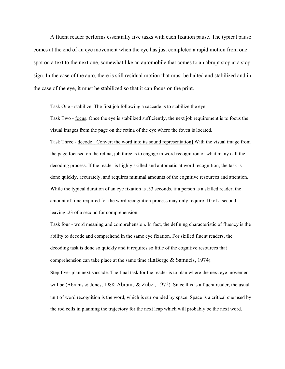A fluent reader performs essentially five tasks with each fixation pause. The typical pause comes at the end of an eye movement when the eye has just completed a rapid motion from one spot on a text to the next one, somewhat like an automobile that comes to an abrupt stop at a stop sign. In the case of the auto, there is still residual motion that must be halted and stabilized and in the case of the eye, it must be stabilized so that it can focus on the print.

Task One - stabilize. The first job following a saccade is to stabilize the eye.

Task Two - focus. Once the eye is stabilized sufficiently, the next job requirement is to focus the visual images from the page on the retina of the eye where the fovea is located.

Task Three - decode [ Convert the word into its sound representation] With the visual image from the page focused on the retina, job three is to engage in word recognition or what many call the decoding process. If the reader is highly skilled and automatic at word recognition, the task is done quickly, accurately, and requires minimal amounts of the cognitive resources and attention. While the typical duration of an eye fixation is .33 seconds, if a person is a skilled reader, the amount of time required for the word recognition process may only require .10 of a second, leaving .23 of a second for comprehension.

Task four - word meaning and comprehension. In fact, the defining characteristic of fluency is the ability to decode and comprehend in the same eye fixation. For skilled fluent readers, the decoding task is done so quickly and it requires so little of the cognitive resources that comprehension can take place at the same time (LaBerge & Samuels, 1974).

Step five- plan next saccade. The final task for the reader is to plan where the next eye movement will be (Abrams & Jones, 1988; Abrams & Zubel, 1972). Since this is a fluent reader, the usual unit of word recognition is the word, which is surrounded by space. Space is a critical cue used by the rod cells in planning the trajectory for the next leap which will probably be the next word.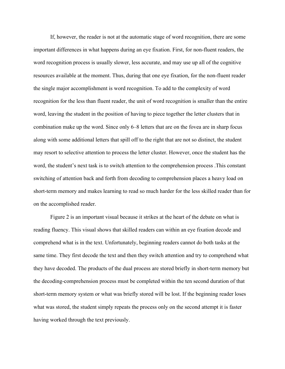If, however, the reader is not at the automatic stage of word recognition, there are some important differences in what happens during an eye fixation. First, for non-fluent readers, the word recognition process is usually slower, less accurate, and may use up all of the cognitive resources available at the moment. Thus, during that one eye fixation, for the non-fluent reader the single major accomplishment is word recognition. To add to the complexity of word recognition for the less than fluent reader, the unit of word recognition is smaller than the entire word, leaving the student in the position of having to piece together the letter clusters that in combination make up the word. Since only 6–8 letters that are on the fovea are in sharp focus along with some additional letters that spill off to the right that are not so distinct, the student may resort to selective attention to process the letter cluster. However, once the student has the word, the student's next task is to switch attention to the comprehension process .This constant switching of attention back and forth from decoding to comprehension places a heavy load on short-term memory and makes learning to read so much harder for the less skilled reader than for on the accomplished reader.

Figure 2 is an important visual because it strikes at the heart of the debate on what is reading fluency. This visual shows that skilled readers can within an eye fixation decode and comprehend what is in the text. Unfortunately, beginning readers cannot do both tasks at the same time. They first decode the text and then they switch attention and try to comprehend what they have decoded. The products of the dual process are stored briefly in short-term memory but the decoding-comprehension process must be completed within the ten second duration of that short-term memory system or what was briefly stored will be lost. If the beginning reader loses what was stored, the student simply repeats the process only on the second attempt it is faster having worked through the text previously.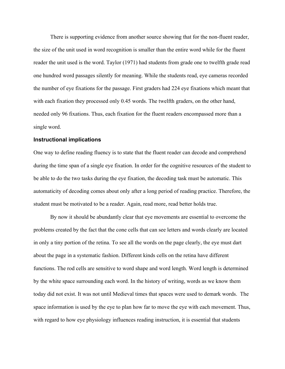There is supporting evidence from another source showing that for the non-fluent reader, the size of the unit used in word recognition is smaller than the entire word while for the fluent reader the unit used is the word. Taylor (1971) had students from grade one to twelfth grade read one hundred word passages silently for meaning. While the students read, eye cameras recorded the number of eye fixations for the passage. First graders had 224 eye fixations which meant that with each fixation they processed only 0.45 words. The twelfth graders, on the other hand, needed only 96 fixations. Thus, each fixation for the fluent readers encompassed more than a single word.

#### **Instructional implications**

One way to define reading fluency is to state that the fluent reader can decode and comprehend during the time span of a single eye fixation. In order for the cognitive resources of the student to be able to do the two tasks during the eye fixation, the decoding task must be automatic. This automaticity of decoding comes about only after a long period of reading practice. Therefore, the student must be motivated to be a reader. Again, read more, read better holds true.

By now it should be abundantly clear that eye movements are essential to overcome the problems created by the fact that the cone cells that can see letters and words clearly are located in only a tiny portion of the retina. To see all the words on the page clearly, the eye must dart about the page in a systematic fashion. Different kinds cells on the retina have different functions. The rod cells are sensitive to word shape and word length. Word length is determined by the white space surrounding each word. In the history of writing, words as we know them today did not exist. It was not until Medieval times that spaces were used to demark words. The space information is used by the eye to plan how far to move the eye with each movement. Thus, with regard to how eye physiology influences reading instruction, it is essential that students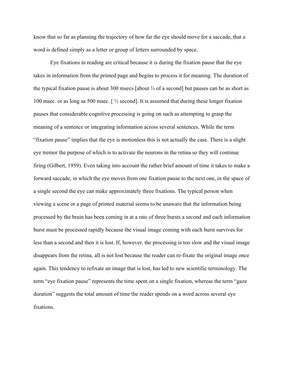know that so far as planning the trajectory of how far the eye should move for a saccade, that a word is defined simply as a letter or group of letters surrounded by space.

Eye fixations in reading are critical because it is during the fixation pause that the eye takes in information from the printed page and begins to process it for meaning. The duration of the typical fixation pause is about 300 msecs [about ⅓ of a second] but pauses can be as short as 100 msec. or as long as 500 msec. [ ½ second]. It is assumed that during these longer fixation pauses that considerable cognitive processing is going on such as attempting to grasp the meaning of a sentence or integrating information across several sentences. While the term "fixation pause" implies that the eye is motionless this is not actually the case. There is a slight eye tremor the purpose of which is to activate the neurons in the retina so they will continue firing (Gilbert, 1959). Even taking into account the rather brief amount of time it takes to make a forward saccade, in which the eye moves from one fixation pause to the next one, in the space of a single second the eye can make approximately three fixations. The typical person when viewing a scene or a page of printed material seems to be unaware that the information being processed by the brain has been coming in at a rate of three bursts a second and each information burst must be processed rapidly because the visual image coming with each burst survives for less than a second and then it is lost. If, however, the processing is too slow and the visual image disappears from the retina, all is not lost because the reader can re-fixate the original image once again. This tendency to refixate an image that is lost, has led to new scientific terminology. The term "eye fixation pause" represents the time spent on a single fixation, whereas the term "gaze duration" suggests the total amount of time the reader spends on a word across several eye fixations.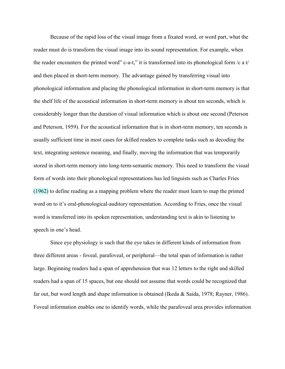Because of the rapid loss of the visual image from a fixated word, or word part, what the reader must do is transform the visual image into its sound representation. For example, when the reader encounters the printed word" c-a-t," it is transformed into its phonological form  $/c$  a t/ and then placed in short-term memory. The advantage gained by transferring visual into phonological information and placing the phonological information in short-term memory is that the shelf life of the acoustical information in short-term memory is about ten seconds, which is considerably longer than the duration of visual information which is about one second (Peterson and Peterson, 1959). For the acoustical information that is in short-term memory, ten seconds is usually sufficient time in most cases for skilled readers to complete tasks such as decoding the text, integrating sentence meaning, and finally, moving the information that was temporarily stored in short-term memory into long-term-semantic memory. This need to transform the visual form of words into their phonological representations has led linguists such as Charles Fries (1962) to define reading as a mapping problem where the reader must learn to map the printed word on to it's oral-phonological-auditory representation. According to Fries, once the visual word is transferred into its spoken representation, understanding text is akin to listening to speech in one's head.

Since eye physiology is such that the eye takes in different kinds of information from three different areas - foveal, parafoveal, or peripheral—the total span of information is rather large. Beginning readers had a span of apprehension that was 12 letters to the right and skilled readers had a span of 15 spaces, but one should not assume that words could be recognized that far out, but word length and shape information is obtained (Ikeda & Saida, 1978; Rayner, 1986). Foveal information enables one to identify words, while the parafoveal area provides information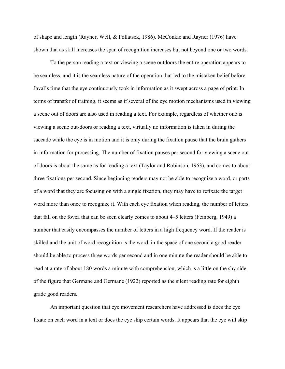of shape and length (Rayner, Well, & Pollatsek, 1986). McConkie and Rayner (1976) have shown that as skill increases the span of recognition increases but not beyond one or two words.

To the person reading a text or viewing a scene outdoors the entire operation appears to be seamless, and it is the seamless nature of the operation that led to the mistaken belief before Javal's time that the eye continuously took in information as it swept across a page of print. In terms of transfer of training, it seems as if several of the eye motion mechanisms used in viewing a scene out of doors are also used in reading a text. For example, regardless of whether one is viewing a scene out-doors or reading a text, virtually no information is taken in during the saccade while the eye is in motion and it is only during the fixation pause that the brain gathers in information for processing. The number of fixation pauses per second for viewing a scene out of doors is about the same as for reading a text (Taylor and Robinson, 1963), and comes to about three fixations per second. Since beginning readers may not be able to recognize a word, or parts of a word that they are focusing on with a single fixation, they may have to refixate the target word more than once to recognize it. With each eye fixation when reading, the number of letters that fall on the fovea that can be seen clearly comes to about 4–5 letters (Feinberg, 1949) a number that easily encompasses the number of letters in a high frequency word. If the reader is skilled and the unit of word recognition is the word, in the space of one second a good reader should be able to process three words per second and in one minute the reader should be able to read at a rate of about 180 words a minute with comprehension, which is a little on the shy side of the figure that Germane and Germane (1922) reported as the silent reading rate for eighth grade good readers.

An important question that eye movement researchers have addressed is does the eye fixate on each word in a text or does the eye skip certain words. It appears that the eye will skip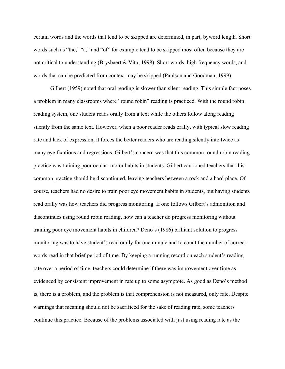certain words and the words that tend to be skipped are determined, in part, byword length. Short words such as "the," "a," and "of" for example tend to be skipped most often because they are not critical to understanding (Brysbaert & Vitu, 1998). Short words, high frequency words, and words that can be predicted from context may be skipped (Paulson and Goodman, 1999).

Gilbert (1959) noted that oral reading is slower than silent reading. This simple fact poses a problem in many classrooms where "round robin" reading is practiced. With the round robin reading system, one student reads orally from a text while the others follow along reading silently from the same text. However, when a poor reader reads orally, with typical slow reading rate and lack of expression, it forces the better readers who are reading silently into twice as many eye fixations and regressions. Gilbert's concern was that this common round robin reading practice was training poor ocular -motor habits in students. Gilbert cautioned teachers that this common practice should be discontinued, leaving teachers between a rock and a hard place. Of course, teachers had no desire to train poor eye movement habits in students, but having students read orally was how teachers did progress monitoring. If one follows Gilbert's admonition and discontinues using round robin reading, how can a teacher do progress monitoring without training poor eye movement habits in children? Deno's (1986) brilliant solution to progress monitoring was to have student's read orally for one minute and to count the number of correct words read in that brief period of time. By keeping a running record on each student's reading rate over a period of time, teachers could determine if there was improvement over time as evidenced by consistent improvement in rate up to some asymptote. As good as Deno's method is, there is a problem, and the problem is that comprehension is not measured, only rate. Despite warnings that meaning should not be sacrificed for the sake of reading rate, some teachers continue this practice. Because of the problems associated with just using reading rate as the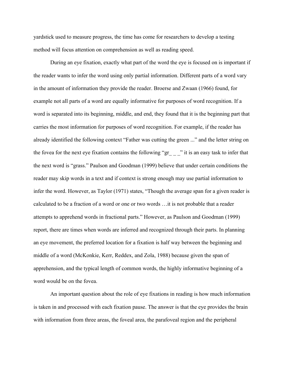yardstick used to measure progress, the time has come for researchers to develop a testing method will focus attention on comprehension as well as reading speed.

During an eye fixation, exactly what part of the word the eye is focused on is important if the reader wants to infer the word using only partial information. Different parts of a word vary in the amount of information they provide the reader. Broerse and Zwaan (1966) found, for example not all parts of a word are equally informative for purposes of word recognition. If a word is separated into its beginning, middle, and end, they found that it is the beginning part that carries the most information for purposes of word recognition. For example, if the reader has already identified the following context "Father was cutting the green ..." and the letter string on the fovea for the next eye fixation contains the following " $gr_{\_}$ " it is an easy task to infer that the next word is "grass." Paulson and Goodman (1999) believe that under certain conditions the reader may skip words in a text and if context is strong enough may use partial information to infer the word. However, as Taylor (1971) states, "Though the average span for a given reader is calculated to be a fraction of a word or one or two words …it is not probable that a reader attempts to apprehend words in fractional parts." However, as Paulson and Goodman (1999) report, there are times when words are inferred and recognized through their parts. In planning an eye movement, the preferred location for a fixation is half way between the beginning and middle of a word (McKonkie, Kerr, Reddex, and Zola, 1988) because given the span of apprehension, and the typical length of common words, the highly informative beginning of a word would be on the fovea.

An important question about the role of eye fixations in reading is how much information is taken in and processed with each fixation pause. The answer is that the eye provides the brain with information from three areas, the foveal area, the parafoveal region and the peripheral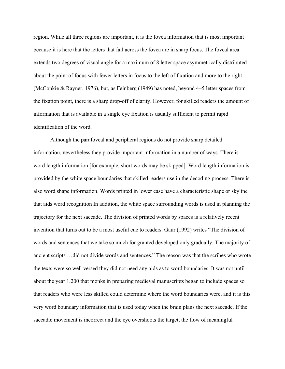region. While all three regions are important, it is the fovea information that is most important because it is here that the letters that fall across the fovea are in sharp focus. The foveal area extends two degrees of visual angle for a maximum of 8 letter space asymmetrically distributed about the point of focus with fewer letters in focus to the left of fixation and more to the right (McConkie & Rayner, 1976), but, as Feinberg (1949) has noted, beyond 4–5 letter spaces from the fixation point, there is a sharp drop-off of clarity. However, for skilled readers the amount of information that is available in a single eye fixation is usually sufficient to permit rapid identification of the word.

Although the parafoveal and peripheral regions do not provide sharp detailed information, nevertheless they provide important information in a number of ways. There is word length information [for example, short words may be skipped]. Word length information is provided by the white space boundaries that skilled readers use in the decoding process. There is also word shape information. Words printed in lower case have a characteristic shape or skyline that aids word recognition In addition, the white space surrounding words is used in planning the trajectory for the next saccade. The division of printed words by spaces is a relatively recent invention that turns out to be a most useful cue to readers. Gaur (1992) writes "The division of words and sentences that we take so much for granted developed only gradually. The majority of ancient scripts …did not divide words and sentences." The reason was that the scribes who wrote the texts were so well versed they did not need any aids as to word boundaries. It was not until about the year 1,200 that monks in preparing medieval manuscripts began to include spaces so that readers who were less skilled could determine where the word boundaries were, and it is this very word boundary information that is used today when the brain plans the next saccade. If the saccadic movement is incorrect and the eye overshoots the target, the flow of meaningful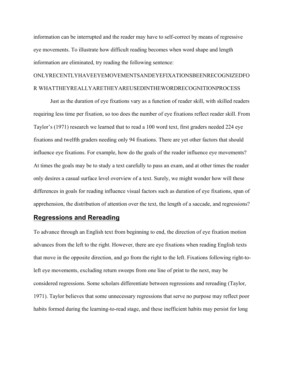information can be interrupted and the reader may have to self-correct by means of regressive eye movements. To illustrate how difficult reading becomes when word shape and length information are eliminated, try reading the following sentence:

# ONLYRECENTLYHAVEEYEMOVEMENTSANDEYEFIXATIONSBEENRECOGNIZEDFO R WHATTHEYREALLYARETHEYAREUSEDINTHEWORDRECOGNITIONPROCESS

Just as the duration of eye fixations vary as a function of reader skill, with skilled readers requiring less time per fixation, so too does the number of eye fixations reflect reader skill. From Taylor's (1971) research we learned that to read a 100 word text, first graders needed 224 eye fixations and twelfth graders needing only 94 fixations. There are yet other factors that should influence eye fixations. For example, how do the goals of the reader influence eye movements? At times the goals may be to study a text carefully to pass an exam, and at other times the reader only desires a casual surface level overview of a text. Surely, we might wonder how will these differences in goals for reading influence visual factors such as duration of eye fixations, span of apprehension, the distribution of attention over the text, the length of a saccade, and regressions?

# **Regressions and Rereading**

To advance through an English text from beginning to end, the direction of eye fixation motion advances from the left to the right. However, there are eye fixations when reading English texts that move in the opposite direction, and go from the right to the left. Fixations following right-toleft eye movements, excluding return sweeps from one line of print to the next, may be considered regressions. Some scholars differentiate between regressions and rereading (Taylor, 1971). Taylor believes that some unnecessary regressions that serve no purpose may reflect poor habits formed during the learning-to-read stage, and these inefficient habits may persist for long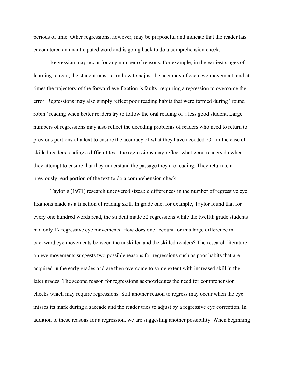periods of time. Other regressions, however, may be purposeful and indicate that the reader has encountered an unanticipated word and is going back to do a comprehension check.

Regression may occur for any number of reasons. For example, in the earliest stages of learning to read, the student must learn how to adjust the accuracy of each eye movement, and at times the trajectory of the forward eye fixation is faulty, requiring a regression to overcome the error. Regressions may also simply reflect poor reading habits that were formed during "round robin" reading when better readers try to follow the oral reading of a less good student. Large numbers of regressions may also reflect the decoding problems of readers who need to return to previous portions of a text to ensure the accuracy of what they have decoded. Or, in the case of skilled readers reading a difficult text, the regressions may reflect what good readers do when they attempt to ensure that they understand the passage they are reading. They return to a previously read portion of the text to do a comprehension check.

Taylor's (1971) research uncovered sizeable differences in the number of regressive eye fixations made as a function of reading skill. In grade one, for example, Taylor found that for every one hundred words read, the student made 52 regressions while the twelfth grade students had only 17 regressive eye movements. How does one account for this large difference in backward eye movements between the unskilled and the skilled readers? The research literature on eye movements suggests two possible reasons for regressions such as poor habits that are acquired in the early grades and are then overcome to some extent with increased skill in the later grades. The second reason for regressions acknowledges the need for comprehension checks which may require regressions. Still another reason to regress may occur when the eye misses its mark during a saccade and the reader tries to adjust by a regressive eye correction. In addition to these reasons for a regression, we are suggesting another possibility. When beginning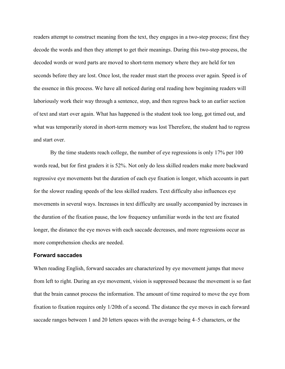readers attempt to construct meaning from the text, they engages in a two-step process; first they decode the words and then they attempt to get their meanings. During this two-step process, the decoded words or word parts are moved to short-term memory where they are held for ten seconds before they are lost. Once lost, the reader must start the process over again. Speed is of the essence in this process. We have all noticed during oral reading how beginning readers will laboriously work their way through a sentence, stop, and then regress back to an earlier section of text and start over again. What has happened is the student took too long, got timed out, and what was temporarily stored in short-term memory was lost Therefore, the student had to regress and start over.

By the time students reach college, the number of eye regressions is only 17% per 100 words read, but for first graders it is 52%. Not only do less skilled readers make more backward regressive eye movements but the duration of each eye fixation is longer, which accounts in part for the slower reading speeds of the less skilled readers. Text difficulty also influences eye movements in several ways. Increases in text difficulty are usually accompanied by increases in the duration of the fixation pause, the low frequency unfamiliar words in the text are fixated longer, the distance the eye moves with each saccade decreases, and more regressions occur as more comprehension checks are needed.

#### **Forward saccades**

When reading English, forward saccades are characterized by eye movement jumps that move from left to right. During an eye movement, vision is suppressed because the movement is so fast that the brain cannot process the information. The amount of time required to move the eye from fixation to fixation requires only 1/20th of a second. The distance the eye moves in each forward saccade ranges between 1 and 20 letters spaces with the average being 4–5 characters, or the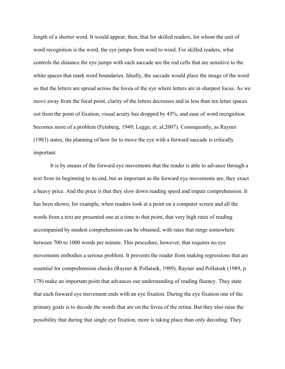length of a shorter word. It would appear, then, that for skilled readers, for whom the unit of word recognition is the word, the eye jumps from word to word. For skilled readers, what controls the distance the eye jumps with each saccade are the rod cells that are sensitive to the white spaces that mark word boundaries. Ideally, the saccade would place the image of the word so that the letters are spread across the fovea of the eye where letters are in sharpest focus. As we move away from the focal point, clarity of the letters decreases and in less than ten letter spaces out from the point of fixation, visual acuity has dropped by 45%, and ease of word recognition becomes more of a problem (Feinberg, 1949; Legge, et. al,2007). Consequently, as Rayner (1983) states, the planning of how far to move the eye with a forward saccade is critically important.

It is by means of the forward eye movements that the reader is able to advance through a text from its beginning to its end, but as important as the forward eye movements are, they exact a heavy price. And the price is that they slow down reading speed and impair comprehension. It has been shown, for example, when readers look at a point on a computer screen and all the words from a text are presented one at a time to that point, that very high rates of reading accompanied by modest comprehension can be obtained, with rates that range somewhere between 700 to 1000 words per minute. This procedure, however, that requires no eye movements embodies a serious problem. It prevents the reader from making regressions that are essential for comprehension checks (Rayner & Pollatsek, 1989). Rayner and Pollatsek (1989, p. 178) make an important point that advances our understanding of reading fluency. They state that each forward eye movement ends with an eye fixation. During the eye fixation one of the primary goals is to decode the words that are on the fovea of the retina. But they also raise the possibility that during that single eye fixation, more is taking place than only decoding. They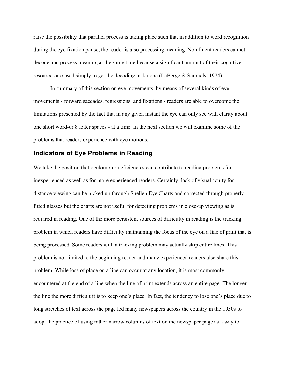raise the possibility that parallel process is taking place such that in addition to word recognition during the eye fixation pause, the reader is also processing meaning. Non fluent readers cannot decode and process meaning at the same time because a significant amount of their cognitive resources are used simply to get the decoding task done (LaBerge & Samuels, 1974).

In summary of this section on eye movements, by means of several kinds of eye movements - forward saccades, regressions, and fixations - readers are able to overcome the limitations presented by the fact that in any given instant the eye can only see with clarity about one short word-or 8 letter spaces - at a time. In the next section we will examine some of the problems that readers experience with eye motions.

# **Indicators of Eye Problems in Reading**

We take the position that oculomotor deficiencies can contribute to reading problems for inexperienced as well as for more experienced readers. Certainly, lack of visual acuity for distance viewing can be picked up through Snellen Eye Charts and corrected through properly fitted glasses but the charts are not useful for detecting problems in close-up viewing as is required in reading. One of the more persistent sources of difficulty in reading is the tracking problem in which readers have difficulty maintaining the focus of the eye on a line of print that is being processed. Some readers with a tracking problem may actually skip entire lines. This problem is not limited to the beginning reader and many experienced readers also share this problem .While loss of place on a line can occur at any location, it is most commonly encountered at the end of a line when the line of print extends across an entire page. The longer the line the more difficult it is to keep one's place. In fact, the tendency to lose one's place due to long stretches of text across the page led many newspapers across the country in the 1950s to adopt the practice of using rather narrow columns of text on the newspaper page as a way to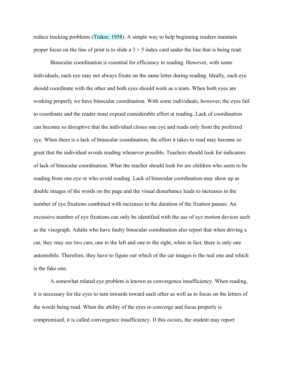reduce tracking problems (Tinker, 1958). A simple way to help beginning readers maintain proper focus on the line of print is to slide a  $3 \times 5$  index card under the line that is being read.

Binocular coordination is essential for efficiency in reading. However, with some individuals, each eye may not always fixate on the same letter during reading. Ideally, each eye should coordinate with the other and both eyes should work as a team. When both eyes are working properly we have binocular coordination. With some individuals, however, the eyes fail to coordinate and the reader must expend considerable effort at reading. Lack of coordination can become so disruptive that the individual closes one eye and reads only from the preferred eye. When there is a lack of binocular coordination, the effort it takes to read may become so great that the individual avoids reading whenever possible. Teachers should look for indicators of lack of binocular coordination. What the teacher should look for are children who seem to be reading from one eye or who avoid reading. Lack of binocular coordination may show up as double images of the words on the page and the visual disturbance leads to increases in the number of eye fixations combined with increases in the duration of the fixation pauses. An excessive number of eye fixations can only be identified with the use of eye motion devices such as the visograph. Adults who have faulty binocular coordination also report that when driving a car, they may see two cars, one to the left and one to the right, when in fact, there is only one automobile. Therefore, they have to figure out which of the car images is the real one and which is the fake one.

A somewhat related eye problem is known as convergence insufficiency. When reading, it is necessary for the eyes to turn inwards toward each other as well as to focus on the letters of the words being read. When the ability of the eyes to converge and focus properly is compromised, it is called convergence insufficiency. If this occurs, the student may report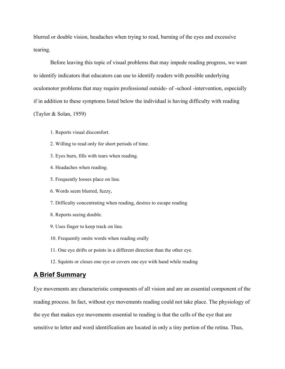blurred or double vision, headaches when trying to read, burning of the eyes and excessive tearing.

Before leaving this topic of visual problems that may impede reading progress, we want to identify indicators that educators can use to identify readers with possible underlying oculomotor problems that may require professional outside- of -school -intervention, especially if in addition to these symptoms listed below the individual is having difficulty with reading (Taylor & Solan, 1959)

- 1. Reports visual discomfort.
- 2. Willing to read only for short periods of time.
- 3. Eyes burn, fills with tears when reading.
- 4. Headaches when reading.
- 5. Frequently looses place on line.
- 6. Words seem blurred, fuzzy,
- 7. Difficulty concentrating when reading, desires to escape reading
- 8. Reports seeing double.
- 9. Uses finger to keep track on line.
- 10. Frequently omits words when reading orally
- 11. One eye drifts or points in a different direction than the other eye.
- 12. Squints or closes one eye or covers one eye with hand while reading

# **A Brief Summary**

Eye movements are characteristic components of all vision and are an essential component of the reading process. In fact, without eye movements reading could not take place. The physiology of the eye that makes eye movements essential to reading is that the cells of the eye that are sensitive to letter and word identification are located in only a tiny portion of the retina. Thus,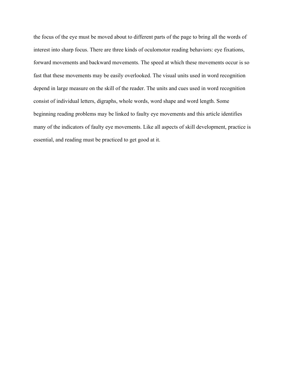the focus of the eye must be moved about to different parts of the page to bring all the words of interest into sharp focus. There are three kinds of oculomotor reading behaviors: eye fixations, forward movements and backward movements. The speed at which these movements occur is so fast that these movements may be easily overlooked. The visual units used in word recognition depend in large measure on the skill of the reader. The units and cues used in word recognition consist of individual letters, digraphs, whole words, word shape and word length. Some beginning reading problems may be linked to faulty eye movements and this article identifies many of the indicators of faulty eye movements. Like all aspects of skill development, practice is essential, and reading must be practiced to get good at it.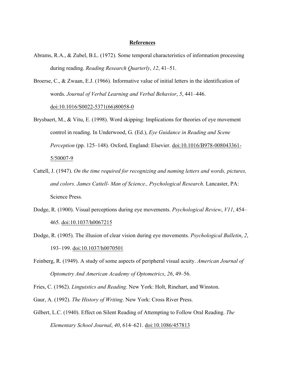#### **References**

- Abrams, R.A., & Zubel, B.L. (1972). Some temporal characteristics of information processing during reading. *Reading Research Quarterly*, *12*, 41–51.
- Broerse, C., & Zwaan, E.J. (1966). Informative value of initial letters in the identification of words. *Journal of Verbal Learning and Verbal Behavior*, *5*, 441–446. doi:10.1016/S0022-5371(66)80058-0
- Brysbaert, M., & Vitu, E. (1998). Word skipping: Implications for theories of eye movement control in reading. In Underwood, G. (Ed.), *Eye Guidance in Reading and Scene Perception* (pp. 125–148). Oxford, England: Elsevier. doi:10.1016/B978-008043361- 5/50007-9
- Cattell, J. (1947). *On the time required for recognizing and naming letters and words, pictures, and colors. James Cattell- Man of Science., Psychological Research*. Lancaster, PA: Science Press.
- Dodge, R. (1900). Visual perceptions during eye movements. *Psychological Review*, *V11*, 454– 465. doi:10.1037/h0067215
- Dodge, R. (1905). The illusion of clear vision during eye movements. *Psychological Bulletin*, *2*, 193–199. doi:10.1037/h0070501
- Feinberg, R. (1949). A study of some aspects of peripheral visual acuity. *American Journal of Optometry And American Academy of Optometrics*, *26*, 49–56.

Fries, C. (1962). *Linguistics and Reading*. New York: Holt, Rinehart, and Winston.

Gaur, A. (1992). *The History of Writing*. New York: Cross River Press.

Gilbert, L.C. (1940). Effect on Silent Reading of Attempting to Follow Oral Reading. *The Elementary School Journal*, *40*, 614–621. doi:10.1086/457813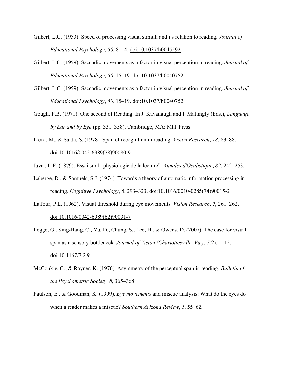- Gilbert, L.C. (1953). Speed of processing visual stimuli and its relation to reading. *Journal of Educational Psychology*, *50*, 8–14. doi:10.1037/h0045592
- Gilbert, L.C. (1959). Saccadic movements as a factor in visual perception in reading. *Journal of Educational Psychology*, *50*, 15–19. doi:10.1037/h0040752
- Gilbert, L.C. (1959). Saccadic movements as a factor in visual perception in reading. *Journal of Educational Psychology*, *50*, 15–19. doi:10.1037/h0040752
- Gough, P.B. (1971). One second of Reading. In J. Kavanaugh and I. Mattingly (Eds.), *Language by Ear and by Eye* (pp. 331–358). Cambridge, MA: MIT Press.
- Ikeda, M., & Saida, S. (1978). Span of recognition in reading. *Vision Research*, *18*, 83–88. doi:10.1016/0042-6989(78)90080-9

Javal, L.E. (1879). Essai sur la physiologie de la lecture". *Annales d'Oculistique*, *82*, 242–253.

- Laberge, D., & Samuels, S.J. (1974). Towards a theory of automatic information processing in reading. *Cognitive Psychology*, *6*, 293–323. doi:10.1016/0010-0285(74)90015-2
- LaTour, P.L. (1962). Visual threshold during eye movements. *Vision Research*, *2*, 261–262. doi:10.1016/0042-6989(62)90031-7
- Legge, G., Sing-Hang, C., Yu, D., Chung, S., Lee, H., & Owens, D. (2007). The case for visual span as a sensory bottleneck. *Journal of Vision (Charlottesville, Va.)*, *7*(2), 1–15. doi:10.1167/7.2.9
- McConkie, G., & Rayner, K. (1976). Asymmetry of the perceptual span in reading. *Bulletin of the Psychometric Society*, *8*, 365–368.
- Paulson, E., & Goodman, K. (1999). *Eye movements* and miscue analysis: What do the eyes do when a reader makes a miscue? *Southern Arizona Review*, *1*, 55–62.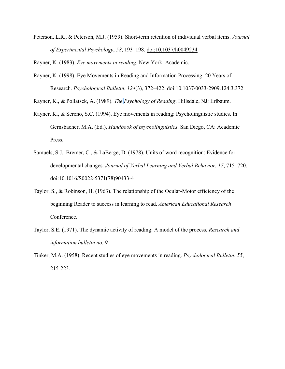Peterson, L.R., & Peterson, M.J. (1959). Short-term retention of individual verbal items. *Journal of Experimental Psychology*, *58*, 193–198. doi:10.1037/h0049234

Rayner, K. (1983). *Eye movements in reading*. New York: Academic.

Rayner, K. (1998). Eye Movements in Reading and Information Processing: 20 Years of Research. *Psychological Bulletin*, *124*(3), 372–422. doi:10.1037/0033-2909.124.3.372

Rayner, K., & Pollatsek, A. (1989). *The Psychology of Reading*. Hillsdale, NJ: Erlbaum.

- Rayner, K., & Sereno, S.C. (1994). Eye movements in reading: Psycholinguistic studies. In Gernsbacher, M.A. (Ed.), *Handbook of psycholinguistics*. San Diego, CA: Academic Press.
- Samuels, S.J., Bremer, C., & LaBerge, D. (1978). Units of word recognition: Evidence for developmental changes. *Journal of Verbal Learning and Verbal Behavior*, *17*, 715–720. doi:10.1016/S0022-5371(78)90433-4
- Taylor, S., & Robinson, H. (1963). The relationship of the Ocular-Motor efficiency of the beginning Reader to success in learning to read. *American Educational Research* Conference.
- Taylor, S.E. (1971). The dynamic activity of reading: A model of the process. *Research and information bulletin no. 9.*
- Tinker, M.A. (1958). Recent studies of eye movements in reading. *Psychological Bulletin*, *55*, 215-223.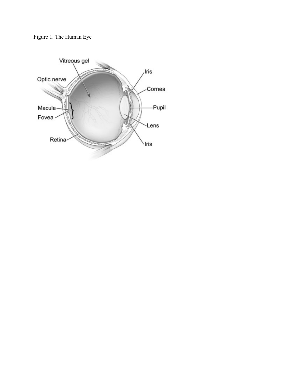